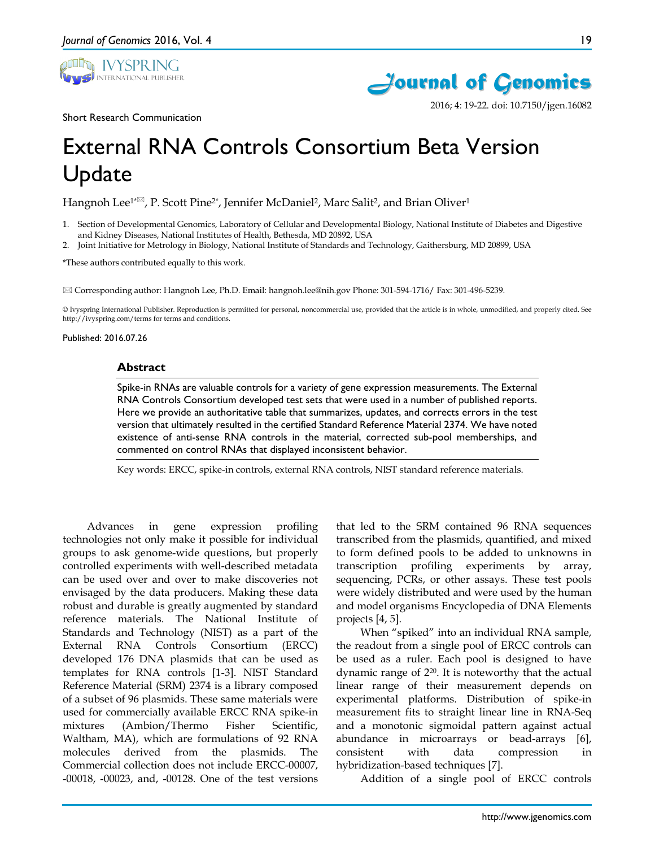



2016; 4: 19-22. doi: 10.7150/jgen.16082

Short Research Communication

# External RNA Controls Consortium Beta Version Update

Hangnoh Lee<sup>1\* $\boxtimes$ </sup>, P. Scott Pine<sup>2\*</sup>, Jennifer McDaniel<sup>2</sup>, Marc Salit<sup>2</sup>, and Brian Oliver<sup>1</sup>

- 1. Section of Developmental Genomics, Laboratory of Cellular and Developmental Biology, National Institute of Diabetes and Digestive and Kidney Diseases, National Institutes of Health, Bethesda, MD 20892, USA
- 2. Joint Initiative for Metrology in Biology, National Institute of Standards and Technology, Gaithersburg, MD 20899, USA

\*These authors contributed equally to this work.

Corresponding author: Hangnoh Lee, Ph.D. Email: hangnoh.lee@nih.gov Phone: 301-594-1716/ Fax: 301-496-5239.

© Ivyspring International Publisher. Reproduction is permitted for personal, noncommercial use, provided that the article is in whole, unmodified, and properly cited. See http://ivyspring.com/terms for terms and conditions.

#### Published: 2016.07.26

#### **Abstract**

Spike-in RNAs are valuable controls for a variety of gene expression measurements. The External RNA Controls Consortium developed test sets that were used in a number of published reports. Here we provide an authoritative table that summarizes, updates, and corrects errors in the test version that ultimately resulted in the certified Standard Reference Material 2374. We have noted existence of anti-sense RNA controls in the material, corrected sub-pool memberships, and commented on control RNAs that displayed inconsistent behavior.

Key words: ERCC, spike-in controls, external RNA controls, NIST standard reference materials.

Advances in gene expression profiling technologies not only make it possible for individual groups to ask genome-wide questions, but properly controlled experiments with well-described metadata can be used over and over to make discoveries not envisaged by the data producers. Making these data robust and durable is greatly augmented by standard reference materials. The National Institute of Standards and Technology (NIST) as a part of the External RNA Controls Consortium (ERCC) developed 176 DNA plasmids that can be used as templates for RNA controls [1-3]. NIST Standard Reference Material (SRM) 2374 is a library composed of a subset of 96 plasmids. These same materials were used for commercially available ERCC RNA spike-in mixtures (Ambion/Thermo Fisher Scientific, Waltham, MA), which are formulations of 92 RNA molecules derived from the plasmids. The Commercial collection does not include ERCC-00007, -00018, -00023, and, -00128. One of the test versions

that led to the SRM contained 96 RNA sequences transcribed from the plasmids, quantified, and mixed to form defined pools to be added to unknowns in transcription profiling experiments by array, sequencing, PCRs, or other assays. These test pools were widely distributed and were used by the human and model organisms Encyclopedia of DNA Elements projects [4, 5].

When "spiked" into an individual RNA sample, the readout from a single pool of ERCC controls can be used as a ruler. Each pool is designed to have dynamic range of 220. It is noteworthy that the actual linear range of their measurement depends on experimental platforms. Distribution of spike-in measurement fits to straight linear line in RNA-Seq and a monotonic sigmoidal pattern against actual abundance in microarrays or bead-arrays [6], consistent with data compression in hybridization-based techniques [7].

Addition of a single pool of ERCC controls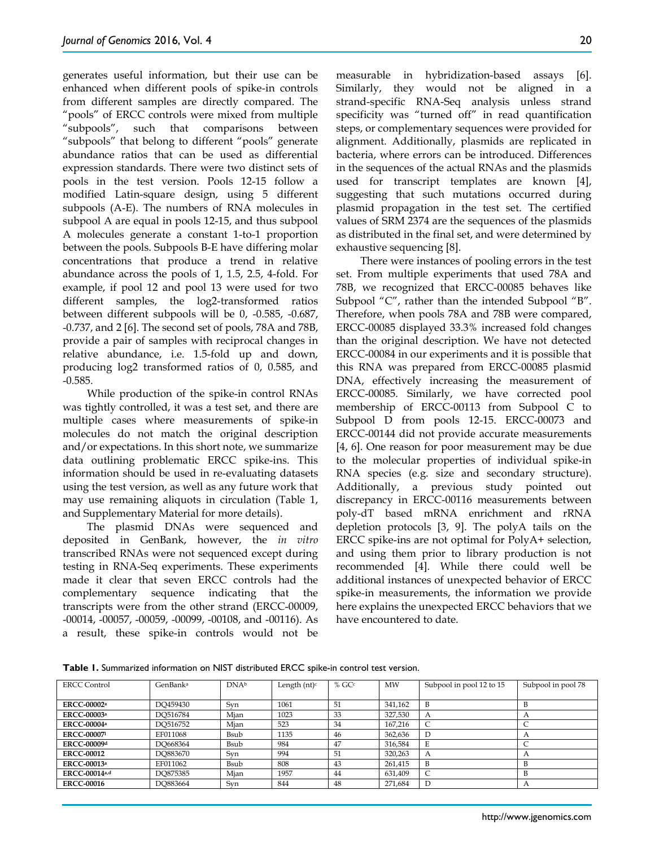generates useful information, but their use can be enhanced when different pools of spike-in controls from different samples are directly compared. The "pools" of ERCC controls were mixed from multiple "subpools", such that comparisons between "subpools" that belong to different "pools" generate abundance ratios that can be used as differential expression standards. There were two distinct sets of pools in the test version. Pools 12-15 follow a modified Latin-square design, using 5 different subpools (A-E). The numbers of RNA molecules in subpool A are equal in pools 12-15, and thus subpool A molecules generate a constant 1-to-1 proportion between the pools. Subpools B-E have differing molar concentrations that produce a trend in relative abundance across the pools of 1, 1.5, 2.5, 4-fold. For example, if pool 12 and pool 13 were used for two different samples, the log2-transformed ratios between different subpools will be 0, -0.585, -0.687, -0.737, and 2 [6]. The second set of pools, 78A and 78B, provide a pair of samples with reciprocal changes in relative abundance, i.e. 1.5-fold up and down, producing log2 transformed ratios of 0, 0.585, and -0.585.

While production of the spike-in control RNAs was tightly controlled, it was a test set, and there are multiple cases where measurements of spike-in molecules do not match the original description and/or expectations. In this short note, we summarize data outlining problematic ERCC spike-ins. This information should be used in re-evaluating datasets using the test version, as well as any future work that may use remaining aliquots in circulation (Table 1, and Supplementary Material for more details).

The plasmid DNAs were sequenced and deposited in GenBank, however, the *in vitro*  transcribed RNAs were not sequenced except during testing in RNA-Seq experiments. These experiments made it clear that seven ERCC controls had the complementary sequence indicating that the transcripts were from the other strand (ERCC-00009, -00014, -00057, -00059, -00099, -00108, and -00116). As a result, these spike-in controls would not be

measurable in hybridization-based assays [6]. Similarly, they would not be aligned in a strand-specific RNA-Seq analysis unless strand specificity was "turned off" in read quantification steps, or complementary sequences were provided for alignment. Additionally, plasmids are replicated in bacteria, where errors can be introduced. Differences in the sequences of the actual RNAs and the plasmids used for transcript templates are known [4], suggesting that such mutations occurred during plasmid propagation in the test set. The certified values of SRM 2374 are the sequences of the plasmids as distributed in the final set, and were determined by exhaustive sequencing [8].

There were instances of pooling errors in the test set. From multiple experiments that used 78A and 78B, we recognized that ERCC-00085 behaves like Subpool "C", rather than the intended Subpool "B". Therefore, when pools 78A and 78B were compared, ERCC-00085 displayed 33.3% increased fold changes than the original description. We have not detected ERCC-00084 in our experiments and it is possible that this RNA was prepared from ERCC-00085 plasmid DNA, effectively increasing the measurement of ERCC-00085. Similarly, we have corrected pool membership of ERCC-00113 from Subpool C to Subpool D from pools 12-15. ERCC-00073 and ERCC-00144 did not provide accurate measurements [4, 6]. One reason for poor measurement may be due to the molecular properties of individual spike-in RNA species (e.g. size and secondary structure). Additionally, a previous study pointed out discrepancy in ERCC-00116 measurements between poly-dT based mRNA enrichment and rRNA depletion protocols [3, 9]. The polyA tails on the ERCC spike-ins are not optimal for PolyA+ selection, and using them prior to library production is not recommended [4]. While there could well be additional instances of unexpected behavior of ERCC spike-in measurements, the information we provide here explains the unexpected ERCC behaviors that we have encountered to date.

**Table 1.** Summarized information on NIST distributed ERCC spike-in control test version.

| <b>ERCC Control</b>            | GenBank <sup>a</sup> | <b>DNAb</b> | Length $(nt)^c$ | $%$ GC $c$ | MW      | Subpool in pool 12 to 15 | Subpool in pool 78 |
|--------------------------------|----------------------|-------------|-----------------|------------|---------|--------------------------|--------------------|
|                                |                      |             |                 |            |         |                          |                    |
| <b>ERCC-00002</b> <sup>a</sup> | DO459430             | Svn         | 1061            | 51         | 341.162 | B                        |                    |
| <b>ERCC-00003a</b>             | DO516784             | Mian        | 1023            | 33         | 327,530 | A                        |                    |
| <b>ERCC-00004</b> <sup>a</sup> | DO516752             | Mjan        | 523             | 34         | 167.216 |                          |                    |
| <b>ERCC-000071</b>             | EF011068             | Bsub        | 1135            | 46         | 362,636 |                          |                    |
| <b>ERCC-00009d</b>             | DO668364             | Bsub        | 984             | 47         | 316,584 | E                        |                    |
| <b>ERCC-00012</b>              | DO883670             | Syn         | 994             | 51         | 320,263 | A                        |                    |
| <b>ERCC-00013a</b>             | EF011062             | Bsub        | 808             | 43         | 261.415 | B                        |                    |
| <b>ERCC-00014a,d</b>           | DO875385             | Mjan        | 1957            | 44         | 631.409 |                          |                    |
| <b>ERCC-00016</b>              | DO883664             | Syn         | 844             | 48         | 271,684 |                          |                    |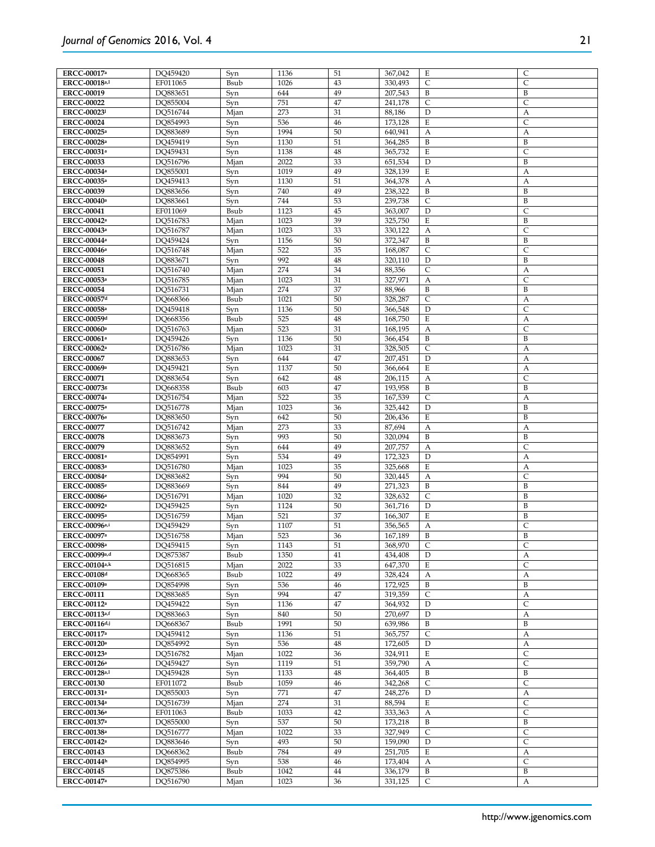|          |                                                                                                                                                                                                                                                                                                                                                                                                                                                                                                                                                                                                                                                                                                          |                                                                                                                                                                                                                                                                                                                                                                                                                           |                                                                                                                                                                                                                                                                                                                                                                                                                                  |                                                                                                                                                                                                                                                                                                                                                    |                                                                                                                                                                                                                                                                                                                                                                                                                                                                                                                                                                                                                                             | $\mathsf{C}$                                                                                                                                                                                                                                                                                                                              |
|----------|----------------------------------------------------------------------------------------------------------------------------------------------------------------------------------------------------------------------------------------------------------------------------------------------------------------------------------------------------------------------------------------------------------------------------------------------------------------------------------------------------------------------------------------------------------------------------------------------------------------------------------------------------------------------------------------------------------|---------------------------------------------------------------------------------------------------------------------------------------------------------------------------------------------------------------------------------------------------------------------------------------------------------------------------------------------------------------------------------------------------------------------------|----------------------------------------------------------------------------------------------------------------------------------------------------------------------------------------------------------------------------------------------------------------------------------------------------------------------------------------------------------------------------------------------------------------------------------|----------------------------------------------------------------------------------------------------------------------------------------------------------------------------------------------------------------------------------------------------------------------------------------------------------------------------------------------------|---------------------------------------------------------------------------------------------------------------------------------------------------------------------------------------------------------------------------------------------------------------------------------------------------------------------------------------------------------------------------------------------------------------------------------------------------------------------------------------------------------------------------------------------------------------------------------------------------------------------------------------------|-------------------------------------------------------------------------------------------------------------------------------------------------------------------------------------------------------------------------------------------------------------------------------------------------------------------------------------------|
|          |                                                                                                                                                                                                                                                                                                                                                                                                                                                                                                                                                                                                                                                                                                          |                                                                                                                                                                                                                                                                                                                                                                                                                           |                                                                                                                                                                                                                                                                                                                                                                                                                                  |                                                                                                                                                                                                                                                                                                                                                    |                                                                                                                                                                                                                                                                                                                                                                                                                                                                                                                                                                                                                                             | $\mathsf{C}$                                                                                                                                                                                                                                                                                                                              |
|          |                                                                                                                                                                                                                                                                                                                                                                                                                                                                                                                                                                                                                                                                                                          | 644                                                                                                                                                                                                                                                                                                                                                                                                                       | 49                                                                                                                                                                                                                                                                                                                                                                                                                               |                                                                                                                                                                                                                                                                                                                                                    | B                                                                                                                                                                                                                                                                                                                                                                                                                                                                                                                                                                                                                                           | B                                                                                                                                                                                                                                                                                                                                         |
|          |                                                                                                                                                                                                                                                                                                                                                                                                                                                                                                                                                                                                                                                                                                          |                                                                                                                                                                                                                                                                                                                                                                                                                           |                                                                                                                                                                                                                                                                                                                                                                                                                                  |                                                                                                                                                                                                                                                                                                                                                    |                                                                                                                                                                                                                                                                                                                                                                                                                                                                                                                                                                                                                                             | C                                                                                                                                                                                                                                                                                                                                         |
|          |                                                                                                                                                                                                                                                                                                                                                                                                                                                                                                                                                                                                                                                                                                          |                                                                                                                                                                                                                                                                                                                                                                                                                           |                                                                                                                                                                                                                                                                                                                                                                                                                                  |                                                                                                                                                                                                                                                                                                                                                    |                                                                                                                                                                                                                                                                                                                                                                                                                                                                                                                                                                                                                                             | А                                                                                                                                                                                                                                                                                                                                         |
|          |                                                                                                                                                                                                                                                                                                                                                                                                                                                                                                                                                                                                                                                                                                          |                                                                                                                                                                                                                                                                                                                                                                                                                           |                                                                                                                                                                                                                                                                                                                                                                                                                                  |                                                                                                                                                                                                                                                                                                                                                    |                                                                                                                                                                                                                                                                                                                                                                                                                                                                                                                                                                                                                                             |                                                                                                                                                                                                                                                                                                                                           |
|          |                                                                                                                                                                                                                                                                                                                                                                                                                                                                                                                                                                                                                                                                                                          |                                                                                                                                                                                                                                                                                                                                                                                                                           |                                                                                                                                                                                                                                                                                                                                                                                                                                  |                                                                                                                                                                                                                                                                                                                                                    |                                                                                                                                                                                                                                                                                                                                                                                                                                                                                                                                                                                                                                             | $\overline{\mathsf{C}}$                                                                                                                                                                                                                                                                                                                   |
|          |                                                                                                                                                                                                                                                                                                                                                                                                                                                                                                                                                                                                                                                                                                          |                                                                                                                                                                                                                                                                                                                                                                                                                           |                                                                                                                                                                                                                                                                                                                                                                                                                                  |                                                                                                                                                                                                                                                                                                                                                    |                                                                                                                                                                                                                                                                                                                                                                                                                                                                                                                                                                                                                                             | А                                                                                                                                                                                                                                                                                                                                         |
| DQ459419 | Syn                                                                                                                                                                                                                                                                                                                                                                                                                                                                                                                                                                                                                                                                                                      | 1130                                                                                                                                                                                                                                                                                                                                                                                                                      | 51                                                                                                                                                                                                                                                                                                                                                                                                                               | 364,285                                                                                                                                                                                                                                                                                                                                            | B                                                                                                                                                                                                                                                                                                                                                                                                                                                                                                                                                                                                                                           | $\, {\bf B}$                                                                                                                                                                                                                                                                                                                              |
|          |                                                                                                                                                                                                                                                                                                                                                                                                                                                                                                                                                                                                                                                                                                          |                                                                                                                                                                                                                                                                                                                                                                                                                           |                                                                                                                                                                                                                                                                                                                                                                                                                                  |                                                                                                                                                                                                                                                                                                                                                    |                                                                                                                                                                                                                                                                                                                                                                                                                                                                                                                                                                                                                                             | $\mathsf{C}$                                                                                                                                                                                                                                                                                                                              |
|          |                                                                                                                                                                                                                                                                                                                                                                                                                                                                                                                                                                                                                                                                                                          |                                                                                                                                                                                                                                                                                                                                                                                                                           |                                                                                                                                                                                                                                                                                                                                                                                                                                  |                                                                                                                                                                                                                                                                                                                                                    |                                                                                                                                                                                                                                                                                                                                                                                                                                                                                                                                                                                                                                             | B                                                                                                                                                                                                                                                                                                                                         |
|          |                                                                                                                                                                                                                                                                                                                                                                                                                                                                                                                                                                                                                                                                                                          |                                                                                                                                                                                                                                                                                                                                                                                                                           |                                                                                                                                                                                                                                                                                                                                                                                                                                  |                                                                                                                                                                                                                                                                                                                                                    |                                                                                                                                                                                                                                                                                                                                                                                                                                                                                                                                                                                                                                             |                                                                                                                                                                                                                                                                                                                                           |
|          |                                                                                                                                                                                                                                                                                                                                                                                                                                                                                                                                                                                                                                                                                                          |                                                                                                                                                                                                                                                                                                                                                                                                                           |                                                                                                                                                                                                                                                                                                                                                                                                                                  |                                                                                                                                                                                                                                                                                                                                                    |                                                                                                                                                                                                                                                                                                                                                                                                                                                                                                                                                                                                                                             | А                                                                                                                                                                                                                                                                                                                                         |
|          |                                                                                                                                                                                                                                                                                                                                                                                                                                                                                                                                                                                                                                                                                                          |                                                                                                                                                                                                                                                                                                                                                                                                                           |                                                                                                                                                                                                                                                                                                                                                                                                                                  |                                                                                                                                                                                                                                                                                                                                                    |                                                                                                                                                                                                                                                                                                                                                                                                                                                                                                                                                                                                                                             | A                                                                                                                                                                                                                                                                                                                                         |
| DO883656 | Syn                                                                                                                                                                                                                                                                                                                                                                                                                                                                                                                                                                                                                                                                                                      |                                                                                                                                                                                                                                                                                                                                                                                                                           | 49                                                                                                                                                                                                                                                                                                                                                                                                                               | 238,322                                                                                                                                                                                                                                                                                                                                            | B                                                                                                                                                                                                                                                                                                                                                                                                                                                                                                                                                                                                                                           | $\, {\bf B}$                                                                                                                                                                                                                                                                                                                              |
|          |                                                                                                                                                                                                                                                                                                                                                                                                                                                                                                                                                                                                                                                                                                          |                                                                                                                                                                                                                                                                                                                                                                                                                           |                                                                                                                                                                                                                                                                                                                                                                                                                                  |                                                                                                                                                                                                                                                                                                                                                    |                                                                                                                                                                                                                                                                                                                                                                                                                                                                                                                                                                                                                                             | B                                                                                                                                                                                                                                                                                                                                         |
|          |                                                                                                                                                                                                                                                                                                                                                                                                                                                                                                                                                                                                                                                                                                          |                                                                                                                                                                                                                                                                                                                                                                                                                           |                                                                                                                                                                                                                                                                                                                                                                                                                                  |                                                                                                                                                                                                                                                                                                                                                    |                                                                                                                                                                                                                                                                                                                                                                                                                                                                                                                                                                                                                                             | $\mathsf{C}$                                                                                                                                                                                                                                                                                                                              |
|          |                                                                                                                                                                                                                                                                                                                                                                                                                                                                                                                                                                                                                                                                                                          |                                                                                                                                                                                                                                                                                                                                                                                                                           |                                                                                                                                                                                                                                                                                                                                                                                                                                  |                                                                                                                                                                                                                                                                                                                                                    |                                                                                                                                                                                                                                                                                                                                                                                                                                                                                                                                                                                                                                             |                                                                                                                                                                                                                                                                                                                                           |
|          |                                                                                                                                                                                                                                                                                                                                                                                                                                                                                                                                                                                                                                                                                                          |                                                                                                                                                                                                                                                                                                                                                                                                                           |                                                                                                                                                                                                                                                                                                                                                                                                                                  |                                                                                                                                                                                                                                                                                                                                                    |                                                                                                                                                                                                                                                                                                                                                                                                                                                                                                                                                                                                                                             | B                                                                                                                                                                                                                                                                                                                                         |
|          |                                                                                                                                                                                                                                                                                                                                                                                                                                                                                                                                                                                                                                                                                                          |                                                                                                                                                                                                                                                                                                                                                                                                                           |                                                                                                                                                                                                                                                                                                                                                                                                                                  |                                                                                                                                                                                                                                                                                                                                                    |                                                                                                                                                                                                                                                                                                                                                                                                                                                                                                                                                                                                                                             | C                                                                                                                                                                                                                                                                                                                                         |
|          |                                                                                                                                                                                                                                                                                                                                                                                                                                                                                                                                                                                                                                                                                                          |                                                                                                                                                                                                                                                                                                                                                                                                                           |                                                                                                                                                                                                                                                                                                                                                                                                                                  |                                                                                                                                                                                                                                                                                                                                                    |                                                                                                                                                                                                                                                                                                                                                                                                                                                                                                                                                                                                                                             | B                                                                                                                                                                                                                                                                                                                                         |
|          |                                                                                                                                                                                                                                                                                                                                                                                                                                                                                                                                                                                                                                                                                                          |                                                                                                                                                                                                                                                                                                                                                                                                                           |                                                                                                                                                                                                                                                                                                                                                                                                                                  |                                                                                                                                                                                                                                                                                                                                                    | C                                                                                                                                                                                                                                                                                                                                                                                                                                                                                                                                                                                                                                           | C                                                                                                                                                                                                                                                                                                                                         |
|          |                                                                                                                                                                                                                                                                                                                                                                                                                                                                                                                                                                                                                                                                                                          |                                                                                                                                                                                                                                                                                                                                                                                                                           |                                                                                                                                                                                                                                                                                                                                                                                                                                  |                                                                                                                                                                                                                                                                                                                                                    |                                                                                                                                                                                                                                                                                                                                                                                                                                                                                                                                                                                                                                             | B                                                                                                                                                                                                                                                                                                                                         |
|          |                                                                                                                                                                                                                                                                                                                                                                                                                                                                                                                                                                                                                                                                                                          |                                                                                                                                                                                                                                                                                                                                                                                                                           |                                                                                                                                                                                                                                                                                                                                                                                                                                  |                                                                                                                                                                                                                                                                                                                                                    |                                                                                                                                                                                                                                                                                                                                                                                                                                                                                                                                                                                                                                             | A                                                                                                                                                                                                                                                                                                                                         |
|          |                                                                                                                                                                                                                                                                                                                                                                                                                                                                                                                                                                                                                                                                                                          |                                                                                                                                                                                                                                                                                                                                                                                                                           |                                                                                                                                                                                                                                                                                                                                                                                                                                  |                                                                                                                                                                                                                                                                                                                                                    |                                                                                                                                                                                                                                                                                                                                                                                                                                                                                                                                                                                                                                             |                                                                                                                                                                                                                                                                                                                                           |
|          |                                                                                                                                                                                                                                                                                                                                                                                                                                                                                                                                                                                                                                                                                                          |                                                                                                                                                                                                                                                                                                                                                                                                                           |                                                                                                                                                                                                                                                                                                                                                                                                                                  |                                                                                                                                                                                                                                                                                                                                                    |                                                                                                                                                                                                                                                                                                                                                                                                                                                                                                                                                                                                                                             | C                                                                                                                                                                                                                                                                                                                                         |
|          |                                                                                                                                                                                                                                                                                                                                                                                                                                                                                                                                                                                                                                                                                                          |                                                                                                                                                                                                                                                                                                                                                                                                                           |                                                                                                                                                                                                                                                                                                                                                                                                                                  |                                                                                                                                                                                                                                                                                                                                                    |                                                                                                                                                                                                                                                                                                                                                                                                                                                                                                                                                                                                                                             | B                                                                                                                                                                                                                                                                                                                                         |
| DQ668366 | Bsub                                                                                                                                                                                                                                                                                                                                                                                                                                                                                                                                                                                                                                                                                                     | 1021                                                                                                                                                                                                                                                                                                                                                                                                                      |                                                                                                                                                                                                                                                                                                                                                                                                                                  | 328,287                                                                                                                                                                                                                                                                                                                                            | $\mathsf{C}$                                                                                                                                                                                                                                                                                                                                                                                                                                                                                                                                                                                                                                | A                                                                                                                                                                                                                                                                                                                                         |
| DO459418 | Syn                                                                                                                                                                                                                                                                                                                                                                                                                                                                                                                                                                                                                                                                                                      | 1136                                                                                                                                                                                                                                                                                                                                                                                                                      | 50                                                                                                                                                                                                                                                                                                                                                                                                                               | 366,548                                                                                                                                                                                                                                                                                                                                            | D                                                                                                                                                                                                                                                                                                                                                                                                                                                                                                                                                                                                                                           | C                                                                                                                                                                                                                                                                                                                                         |
|          |                                                                                                                                                                                                                                                                                                                                                                                                                                                                                                                                                                                                                                                                                                          | 525                                                                                                                                                                                                                                                                                                                                                                                                                       |                                                                                                                                                                                                                                                                                                                                                                                                                                  |                                                                                                                                                                                                                                                                                                                                                    | Ε                                                                                                                                                                                                                                                                                                                                                                                                                                                                                                                                                                                                                                           | А                                                                                                                                                                                                                                                                                                                                         |
|          |                                                                                                                                                                                                                                                                                                                                                                                                                                                                                                                                                                                                                                                                                                          |                                                                                                                                                                                                                                                                                                                                                                                                                           |                                                                                                                                                                                                                                                                                                                                                                                                                                  |                                                                                                                                                                                                                                                                                                                                                    |                                                                                                                                                                                                                                                                                                                                                                                                                                                                                                                                                                                                                                             | $\overline{C}$                                                                                                                                                                                                                                                                                                                            |
|          |                                                                                                                                                                                                                                                                                                                                                                                                                                                                                                                                                                                                                                                                                                          |                                                                                                                                                                                                                                                                                                                                                                                                                           |                                                                                                                                                                                                                                                                                                                                                                                                                                  |                                                                                                                                                                                                                                                                                                                                                    |                                                                                                                                                                                                                                                                                                                                                                                                                                                                                                                                                                                                                                             |                                                                                                                                                                                                                                                                                                                                           |
|          |                                                                                                                                                                                                                                                                                                                                                                                                                                                                                                                                                                                                                                                                                                          |                                                                                                                                                                                                                                                                                                                                                                                                                           |                                                                                                                                                                                                                                                                                                                                                                                                                                  |                                                                                                                                                                                                                                                                                                                                                    |                                                                                                                                                                                                                                                                                                                                                                                                                                                                                                                                                                                                                                             | $\, {\bf B}$                                                                                                                                                                                                                                                                                                                              |
|          |                                                                                                                                                                                                                                                                                                                                                                                                                                                                                                                                                                                                                                                                                                          |                                                                                                                                                                                                                                                                                                                                                                                                                           |                                                                                                                                                                                                                                                                                                                                                                                                                                  |                                                                                                                                                                                                                                                                                                                                                    |                                                                                                                                                                                                                                                                                                                                                                                                                                                                                                                                                                                                                                             | А                                                                                                                                                                                                                                                                                                                                         |
| DQ883653 | Syn                                                                                                                                                                                                                                                                                                                                                                                                                                                                                                                                                                                                                                                                                                      | 644                                                                                                                                                                                                                                                                                                                                                                                                                       | 47                                                                                                                                                                                                                                                                                                                                                                                                                               | 207,451                                                                                                                                                                                                                                                                                                                                            | D                                                                                                                                                                                                                                                                                                                                                                                                                                                                                                                                                                                                                                           | А                                                                                                                                                                                                                                                                                                                                         |
| DQ459421 | Syn                                                                                                                                                                                                                                                                                                                                                                                                                                                                                                                                                                                                                                                                                                      | 1137                                                                                                                                                                                                                                                                                                                                                                                                                      | 50                                                                                                                                                                                                                                                                                                                                                                                                                               | 366,664                                                                                                                                                                                                                                                                                                                                            | Ε                                                                                                                                                                                                                                                                                                                                                                                                                                                                                                                                                                                                                                           | А                                                                                                                                                                                                                                                                                                                                         |
|          |                                                                                                                                                                                                                                                                                                                                                                                                                                                                                                                                                                                                                                                                                                          |                                                                                                                                                                                                                                                                                                                                                                                                                           |                                                                                                                                                                                                                                                                                                                                                                                                                                  |                                                                                                                                                                                                                                                                                                                                                    |                                                                                                                                                                                                                                                                                                                                                                                                                                                                                                                                                                                                                                             | C                                                                                                                                                                                                                                                                                                                                         |
|          |                                                                                                                                                                                                                                                                                                                                                                                                                                                                                                                                                                                                                                                                                                          |                                                                                                                                                                                                                                                                                                                                                                                                                           |                                                                                                                                                                                                                                                                                                                                                                                                                                  |                                                                                                                                                                                                                                                                                                                                                    |                                                                                                                                                                                                                                                                                                                                                                                                                                                                                                                                                                                                                                             | B                                                                                                                                                                                                                                                                                                                                         |
|          |                                                                                                                                                                                                                                                                                                                                                                                                                                                                                                                                                                                                                                                                                                          |                                                                                                                                                                                                                                                                                                                                                                                                                           |                                                                                                                                                                                                                                                                                                                                                                                                                                  |                                                                                                                                                                                                                                                                                                                                                    |                                                                                                                                                                                                                                                                                                                                                                                                                                                                                                                                                                                                                                             |                                                                                                                                                                                                                                                                                                                                           |
|          |                                                                                                                                                                                                                                                                                                                                                                                                                                                                                                                                                                                                                                                                                                          |                                                                                                                                                                                                                                                                                                                                                                                                                           |                                                                                                                                                                                                                                                                                                                                                                                                                                  |                                                                                                                                                                                                                                                                                                                                                    |                                                                                                                                                                                                                                                                                                                                                                                                                                                                                                                                                                                                                                             | A                                                                                                                                                                                                                                                                                                                                         |
|          |                                                                                                                                                                                                                                                                                                                                                                                                                                                                                                                                                                                                                                                                                                          |                                                                                                                                                                                                                                                                                                                                                                                                                           |                                                                                                                                                                                                                                                                                                                                                                                                                                  |                                                                                                                                                                                                                                                                                                                                                    |                                                                                                                                                                                                                                                                                                                                                                                                                                                                                                                                                                                                                                             | B                                                                                                                                                                                                                                                                                                                                         |
|          |                                                                                                                                                                                                                                                                                                                                                                                                                                                                                                                                                                                                                                                                                                          |                                                                                                                                                                                                                                                                                                                                                                                                                           |                                                                                                                                                                                                                                                                                                                                                                                                                                  |                                                                                                                                                                                                                                                                                                                                                    | Ε                                                                                                                                                                                                                                                                                                                                                                                                                                                                                                                                                                                                                                           | B                                                                                                                                                                                                                                                                                                                                         |
| DQ516742 | Mjan                                                                                                                                                                                                                                                                                                                                                                                                                                                                                                                                                                                                                                                                                                     | 273                                                                                                                                                                                                                                                                                                                                                                                                                       | 33                                                                                                                                                                                                                                                                                                                                                                                                                               | 87,694                                                                                                                                                                                                                                                                                                                                             | А                                                                                                                                                                                                                                                                                                                                                                                                                                                                                                                                                                                                                                           | А                                                                                                                                                                                                                                                                                                                                         |
|          |                                                                                                                                                                                                                                                                                                                                                                                                                                                                                                                                                                                                                                                                                                          |                                                                                                                                                                                                                                                                                                                                                                                                                           |                                                                                                                                                                                                                                                                                                                                                                                                                                  |                                                                                                                                                                                                                                                                                                                                                    |                                                                                                                                                                                                                                                                                                                                                                                                                                                                                                                                                                                                                                             | $\, {\bf B}$                                                                                                                                                                                                                                                                                                                              |
|          |                                                                                                                                                                                                                                                                                                                                                                                                                                                                                                                                                                                                                                                                                                          |                                                                                                                                                                                                                                                                                                                                                                                                                           |                                                                                                                                                                                                                                                                                                                                                                                                                                  |                                                                                                                                                                                                                                                                                                                                                    |                                                                                                                                                                                                                                                                                                                                                                                                                                                                                                                                                                                                                                             | $\mathsf{C}$                                                                                                                                                                                                                                                                                                                              |
|          |                                                                                                                                                                                                                                                                                                                                                                                                                                                                                                                                                                                                                                                                                                          |                                                                                                                                                                                                                                                                                                                                                                                                                           |                                                                                                                                                                                                                                                                                                                                                                                                                                  |                                                                                                                                                                                                                                                                                                                                                    |                                                                                                                                                                                                                                                                                                                                                                                                                                                                                                                                                                                                                                             |                                                                                                                                                                                                                                                                                                                                           |
|          |                                                                                                                                                                                                                                                                                                                                                                                                                                                                                                                                                                                                                                                                                                          |                                                                                                                                                                                                                                                                                                                                                                                                                           |                                                                                                                                                                                                                                                                                                                                                                                                                                  |                                                                                                                                                                                                                                                                                                                                                    |                                                                                                                                                                                                                                                                                                                                                                                                                                                                                                                                                                                                                                             | А                                                                                                                                                                                                                                                                                                                                         |
|          |                                                                                                                                                                                                                                                                                                                                                                                                                                                                                                                                                                                                                                                                                                          |                                                                                                                                                                                                                                                                                                                                                                                                                           |                                                                                                                                                                                                                                                                                                                                                                                                                                  |                                                                                                                                                                                                                                                                                                                                                    |                                                                                                                                                                                                                                                                                                                                                                                                                                                                                                                                                                                                                                             | А                                                                                                                                                                                                                                                                                                                                         |
|          |                                                                                                                                                                                                                                                                                                                                                                                                                                                                                                                                                                                                                                                                                                          |                                                                                                                                                                                                                                                                                                                                                                                                                           |                                                                                                                                                                                                                                                                                                                                                                                                                                  |                                                                                                                                                                                                                                                                                                                                                    | А                                                                                                                                                                                                                                                                                                                                                                                                                                                                                                                                                                                                                                           | $\mathsf{C}$                                                                                                                                                                                                                                                                                                                              |
| DQ883669 | Syn                                                                                                                                                                                                                                                                                                                                                                                                                                                                                                                                                                                                                                                                                                      | 844                                                                                                                                                                                                                                                                                                                                                                                                                       | 49                                                                                                                                                                                                                                                                                                                                                                                                                               | 271,323                                                                                                                                                                                                                                                                                                                                            | B                                                                                                                                                                                                                                                                                                                                                                                                                                                                                                                                                                                                                                           | $\, {\bf B}$                                                                                                                                                                                                                                                                                                                              |
|          |                                                                                                                                                                                                                                                                                                                                                                                                                                                                                                                                                                                                                                                                                                          |                                                                                                                                                                                                                                                                                                                                                                                                                           |                                                                                                                                                                                                                                                                                                                                                                                                                                  |                                                                                                                                                                                                                                                                                                                                                    |                                                                                                                                                                                                                                                                                                                                                                                                                                                                                                                                                                                                                                             | $\, {\bf B}$                                                                                                                                                                                                                                                                                                                              |
|          |                                                                                                                                                                                                                                                                                                                                                                                                                                                                                                                                                                                                                                                                                                          |                                                                                                                                                                                                                                                                                                                                                                                                                           |                                                                                                                                                                                                                                                                                                                                                                                                                                  |                                                                                                                                                                                                                                                                                                                                                    |                                                                                                                                                                                                                                                                                                                                                                                                                                                                                                                                                                                                                                             | B                                                                                                                                                                                                                                                                                                                                         |
|          |                                                                                                                                                                                                                                                                                                                                                                                                                                                                                                                                                                                                                                                                                                          |                                                                                                                                                                                                                                                                                                                                                                                                                           |                                                                                                                                                                                                                                                                                                                                                                                                                                  |                                                                                                                                                                                                                                                                                                                                                    |                                                                                                                                                                                                                                                                                                                                                                                                                                                                                                                                                                                                                                             | B                                                                                                                                                                                                                                                                                                                                         |
|          |                                                                                                                                                                                                                                                                                                                                                                                                                                                                                                                                                                                                                                                                                                          |                                                                                                                                                                                                                                                                                                                                                                                                                           |                                                                                                                                                                                                                                                                                                                                                                                                                                  |                                                                                                                                                                                                                                                                                                                                                    |                                                                                                                                                                                                                                                                                                                                                                                                                                                                                                                                                                                                                                             |                                                                                                                                                                                                                                                                                                                                           |
|          |                                                                                                                                                                                                                                                                                                                                                                                                                                                                                                                                                                                                                                                                                                          |                                                                                                                                                                                                                                                                                                                                                                                                                           |                                                                                                                                                                                                                                                                                                                                                                                                                                  |                                                                                                                                                                                                                                                                                                                                                    |                                                                                                                                                                                                                                                                                                                                                                                                                                                                                                                                                                                                                                             | C                                                                                                                                                                                                                                                                                                                                         |
|          | Mjan                                                                                                                                                                                                                                                                                                                                                                                                                                                                                                                                                                                                                                                                                                     | 523                                                                                                                                                                                                                                                                                                                                                                                                                       | 36                                                                                                                                                                                                                                                                                                                                                                                                                               | 167,189                                                                                                                                                                                                                                                                                                                                            | B                                                                                                                                                                                                                                                                                                                                                                                                                                                                                                                                                                                                                                           | B                                                                                                                                                                                                                                                                                                                                         |
| DQ459415 | Syn                                                                                                                                                                                                                                                                                                                                                                                                                                                                                                                                                                                                                                                                                                      | 1143                                                                                                                                                                                                                                                                                                                                                                                                                      | 51                                                                                                                                                                                                                                                                                                                                                                                                                               | 368,970                                                                                                                                                                                                                                                                                                                                            | C                                                                                                                                                                                                                                                                                                                                                                                                                                                                                                                                                                                                                                           | $\overline{C}$                                                                                                                                                                                                                                                                                                                            |
|          |                                                                                                                                                                                                                                                                                                                                                                                                                                                                                                                                                                                                                                                                                                          |                                                                                                                                                                                                                                                                                                                                                                                                                           |                                                                                                                                                                                                                                                                                                                                                                                                                                  |                                                                                                                                                                                                                                                                                                                                                    | D                                                                                                                                                                                                                                                                                                                                                                                                                                                                                                                                                                                                                                           | А                                                                                                                                                                                                                                                                                                                                         |
|          |                                                                                                                                                                                                                                                                                                                                                                                                                                                                                                                                                                                                                                                                                                          |                                                                                                                                                                                                                                                                                                                                                                                                                           |                                                                                                                                                                                                                                                                                                                                                                                                                                  |                                                                                                                                                                                                                                                                                                                                                    |                                                                                                                                                                                                                                                                                                                                                                                                                                                                                                                                                                                                                                             | $\mathsf C$                                                                                                                                                                                                                                                                                                                               |
|          |                                                                                                                                                                                                                                                                                                                                                                                                                                                                                                                                                                                                                                                                                                          |                                                                                                                                                                                                                                                                                                                                                                                                                           |                                                                                                                                                                                                                                                                                                                                                                                                                                  |                                                                                                                                                                                                                                                                                                                                                    |                                                                                                                                                                                                                                                                                                                                                                                                                                                                                                                                                                                                                                             |                                                                                                                                                                                                                                                                                                                                           |
|          |                                                                                                                                                                                                                                                                                                                                                                                                                                                                                                                                                                                                                                                                                                          |                                                                                                                                                                                                                                                                                                                                                                                                                           |                                                                                                                                                                                                                                                                                                                                                                                                                                  |                                                                                                                                                                                                                                                                                                                                                    |                                                                                                                                                                                                                                                                                                                                                                                                                                                                                                                                                                                                                                             | А                                                                                                                                                                                                                                                                                                                                         |
|          |                                                                                                                                                                                                                                                                                                                                                                                                                                                                                                                                                                                                                                                                                                          |                                                                                                                                                                                                                                                                                                                                                                                                                           |                                                                                                                                                                                                                                                                                                                                                                                                                                  |                                                                                                                                                                                                                                                                                                                                                    |                                                                                                                                                                                                                                                                                                                                                                                                                                                                                                                                                                                                                                             | $\, {\bf B}$                                                                                                                                                                                                                                                                                                                              |
| DQ883685 | Syn                                                                                                                                                                                                                                                                                                                                                                                                                                                                                                                                                                                                                                                                                                      |                                                                                                                                                                                                                                                                                                                                                                                                                           |                                                                                                                                                                                                                                                                                                                                                                                                                                  |                                                                                                                                                                                                                                                                                                                                                    | C                                                                                                                                                                                                                                                                                                                                                                                                                                                                                                                                                                                                                                           | А                                                                                                                                                                                                                                                                                                                                         |
| DQ459422 | Syn                                                                                                                                                                                                                                                                                                                                                                                                                                                                                                                                                                                                                                                                                                      | 1136                                                                                                                                                                                                                                                                                                                                                                                                                      | 47                                                                                                                                                                                                                                                                                                                                                                                                                               | 364,932                                                                                                                                                                                                                                                                                                                                            | D                                                                                                                                                                                                                                                                                                                                                                                                                                                                                                                                                                                                                                           | C                                                                                                                                                                                                                                                                                                                                         |
|          |                                                                                                                                                                                                                                                                                                                                                                                                                                                                                                                                                                                                                                                                                                          |                                                                                                                                                                                                                                                                                                                                                                                                                           |                                                                                                                                                                                                                                                                                                                                                                                                                                  |                                                                                                                                                                                                                                                                                                                                                    | D                                                                                                                                                                                                                                                                                                                                                                                                                                                                                                                                                                                                                                           | А                                                                                                                                                                                                                                                                                                                                         |
|          |                                                                                                                                                                                                                                                                                                                                                                                                                                                                                                                                                                                                                                                                                                          |                                                                                                                                                                                                                                                                                                                                                                                                                           |                                                                                                                                                                                                                                                                                                                                                                                                                                  |                                                                                                                                                                                                                                                                                                                                                    |                                                                                                                                                                                                                                                                                                                                                                                                                                                                                                                                                                                                                                             | B                                                                                                                                                                                                                                                                                                                                         |
|          |                                                                                                                                                                                                                                                                                                                                                                                                                                                                                                                                                                                                                                                                                                          |                                                                                                                                                                                                                                                                                                                                                                                                                           |                                                                                                                                                                                                                                                                                                                                                                                                                                  |                                                                                                                                                                                                                                                                                                                                                    |                                                                                                                                                                                                                                                                                                                                                                                                                                                                                                                                                                                                                                             |                                                                                                                                                                                                                                                                                                                                           |
|          |                                                                                                                                                                                                                                                                                                                                                                                                                                                                                                                                                                                                                                                                                                          |                                                                                                                                                                                                                                                                                                                                                                                                                           |                                                                                                                                                                                                                                                                                                                                                                                                                                  |                                                                                                                                                                                                                                                                                                                                                    |                                                                                                                                                                                                                                                                                                                                                                                                                                                                                                                                                                                                                                             | А                                                                                                                                                                                                                                                                                                                                         |
|          |                                                                                                                                                                                                                                                                                                                                                                                                                                                                                                                                                                                                                                                                                                          |                                                                                                                                                                                                                                                                                                                                                                                                                           |                                                                                                                                                                                                                                                                                                                                                                                                                                  |                                                                                                                                                                                                                                                                                                                                                    |                                                                                                                                                                                                                                                                                                                                                                                                                                                                                                                                                                                                                                             | A                                                                                                                                                                                                                                                                                                                                         |
|          | Mjan                                                                                                                                                                                                                                                                                                                                                                                                                                                                                                                                                                                                                                                                                                     |                                                                                                                                                                                                                                                                                                                                                                                                                           |                                                                                                                                                                                                                                                                                                                                                                                                                                  |                                                                                                                                                                                                                                                                                                                                                    |                                                                                                                                                                                                                                                                                                                                                                                                                                                                                                                                                                                                                                             | $\mathsf{C}$                                                                                                                                                                                                                                                                                                                              |
| DO459427 | Syn                                                                                                                                                                                                                                                                                                                                                                                                                                                                                                                                                                                                                                                                                                      | 1119                                                                                                                                                                                                                                                                                                                                                                                                                      | 51                                                                                                                                                                                                                                                                                                                                                                                                                               | 359,790                                                                                                                                                                                                                                                                                                                                            | А                                                                                                                                                                                                                                                                                                                                                                                                                                                                                                                                                                                                                                           | $\overline{C}$                                                                                                                                                                                                                                                                                                                            |
| DO459428 | Syn                                                                                                                                                                                                                                                                                                                                                                                                                                                                                                                                                                                                                                                                                                      | 1133                                                                                                                                                                                                                                                                                                                                                                                                                      | 48                                                                                                                                                                                                                                                                                                                                                                                                                               | 364,405                                                                                                                                                                                                                                                                                                                                            | B                                                                                                                                                                                                                                                                                                                                                                                                                                                                                                                                                                                                                                           | B                                                                                                                                                                                                                                                                                                                                         |
|          |                                                                                                                                                                                                                                                                                                                                                                                                                                                                                                                                                                                                                                                                                                          |                                                                                                                                                                                                                                                                                                                                                                                                                           |                                                                                                                                                                                                                                                                                                                                                                                                                                  |                                                                                                                                                                                                                                                                                                                                                    |                                                                                                                                                                                                                                                                                                                                                                                                                                                                                                                                                                                                                                             | C                                                                                                                                                                                                                                                                                                                                         |
|          |                                                                                                                                                                                                                                                                                                                                                                                                                                                                                                                                                                                                                                                                                                          |                                                                                                                                                                                                                                                                                                                                                                                                                           |                                                                                                                                                                                                                                                                                                                                                                                                                                  |                                                                                                                                                                                                                                                                                                                                                    |                                                                                                                                                                                                                                                                                                                                                                                                                                                                                                                                                                                                                                             | A                                                                                                                                                                                                                                                                                                                                         |
|          |                                                                                                                                                                                                                                                                                                                                                                                                                                                                                                                                                                                                                                                                                                          |                                                                                                                                                                                                                                                                                                                                                                                                                           |                                                                                                                                                                                                                                                                                                                                                                                                                                  |                                                                                                                                                                                                                                                                                                                                                    |                                                                                                                                                                                                                                                                                                                                                                                                                                                                                                                                                                                                                                             |                                                                                                                                                                                                                                                                                                                                           |
|          |                                                                                                                                                                                                                                                                                                                                                                                                                                                                                                                                                                                                                                                                                                          |                                                                                                                                                                                                                                                                                                                                                                                                                           |                                                                                                                                                                                                                                                                                                                                                                                                                                  |                                                                                                                                                                                                                                                                                                                                                    |                                                                                                                                                                                                                                                                                                                                                                                                                                                                                                                                                                                                                                             | $\mathsf C$                                                                                                                                                                                                                                                                                                                               |
|          |                                                                                                                                                                                                                                                                                                                                                                                                                                                                                                                                                                                                                                                                                                          |                                                                                                                                                                                                                                                                                                                                                                                                                           |                                                                                                                                                                                                                                                                                                                                                                                                                                  |                                                                                                                                                                                                                                                                                                                                                    |                                                                                                                                                                                                                                                                                                                                                                                                                                                                                                                                                                                                                                             | $\overline{\rm C}$                                                                                                                                                                                                                                                                                                                        |
| DQ855000 | Syn                                                                                                                                                                                                                                                                                                                                                                                                                                                                                                                                                                                                                                                                                                      | 537                                                                                                                                                                                                                                                                                                                                                                                                                       | 50                                                                                                                                                                                                                                                                                                                                                                                                                               | 173,218                                                                                                                                                                                                                                                                                                                                            | B                                                                                                                                                                                                                                                                                                                                                                                                                                                                                                                                                                                                                                           | B                                                                                                                                                                                                                                                                                                                                         |
| DQ516777 | Mjan                                                                                                                                                                                                                                                                                                                                                                                                                                                                                                                                                                                                                                                                                                     | 1022                                                                                                                                                                                                                                                                                                                                                                                                                      | 33                                                                                                                                                                                                                                                                                                                                                                                                                               | 327,949                                                                                                                                                                                                                                                                                                                                            | C                                                                                                                                                                                                                                                                                                                                                                                                                                                                                                                                                                                                                                           | $\overline{C}$                                                                                                                                                                                                                                                                                                                            |
|          |                                                                                                                                                                                                                                                                                                                                                                                                                                                                                                                                                                                                                                                                                                          |                                                                                                                                                                                                                                                                                                                                                                                                                           |                                                                                                                                                                                                                                                                                                                                                                                                                                  |                                                                                                                                                                                                                                                                                                                                                    |                                                                                                                                                                                                                                                                                                                                                                                                                                                                                                                                                                                                                                             | $\mathsf C$                                                                                                                                                                                                                                                                                                                               |
|          |                                                                                                                                                                                                                                                                                                                                                                                                                                                                                                                                                                                                                                                                                                          |                                                                                                                                                                                                                                                                                                                                                                                                                           |                                                                                                                                                                                                                                                                                                                                                                                                                                  |                                                                                                                                                                                                                                                                                                                                                    |                                                                                                                                                                                                                                                                                                                                                                                                                                                                                                                                                                                                                                             | А                                                                                                                                                                                                                                                                                                                                         |
|          |                                                                                                                                                                                                                                                                                                                                                                                                                                                                                                                                                                                                                                                                                                          |                                                                                                                                                                                                                                                                                                                                                                                                                           |                                                                                                                                                                                                                                                                                                                                                                                                                                  |                                                                                                                                                                                                                                                                                                                                                    |                                                                                                                                                                                                                                                                                                                                                                                                                                                                                                                                                                                                                                             |                                                                                                                                                                                                                                                                                                                                           |
|          |                                                                                                                                                                                                                                                                                                                                                                                                                                                                                                                                                                                                                                                                                                          |                                                                                                                                                                                                                                                                                                                                                                                                                           |                                                                                                                                                                                                                                                                                                                                                                                                                                  |                                                                                                                                                                                                                                                                                                                                                    |                                                                                                                                                                                                                                                                                                                                                                                                                                                                                                                                                                                                                                             | $\mathsf C$                                                                                                                                                                                                                                                                                                                               |
|          |                                                                                                                                                                                                                                                                                                                                                                                                                                                                                                                                                                                                                                                                                                          |                                                                                                                                                                                                                                                                                                                                                                                                                           |                                                                                                                                                                                                                                                                                                                                                                                                                                  |                                                                                                                                                                                                                                                                                                                                                    |                                                                                                                                                                                                                                                                                                                                                                                                                                                                                                                                                                                                                                             | B                                                                                                                                                                                                                                                                                                                                         |
| DQ516790 | Mjan                                                                                                                                                                                                                                                                                                                                                                                                                                                                                                                                                                                                                                                                                                     | 1023                                                                                                                                                                                                                                                                                                                                                                                                                      | 36                                                                                                                                                                                                                                                                                                                                                                                                                               | 331,125                                                                                                                                                                                                                                                                                                                                            | C                                                                                                                                                                                                                                                                                                                                                                                                                                                                                                                                                                                                                                           | А                                                                                                                                                                                                                                                                                                                                         |
|          | DQ459420<br>EF011065<br>DQ883651<br>DQ855004<br>DQ516744<br>DQ854993<br>DQ883689<br>DQ459431<br>DQ516796<br>DQ855001<br>DQ459413<br>DQ883661<br>EF011069<br>DQ516783<br>DQ516787<br>DQ459424<br>DQ516748<br>DQ883671<br>DQ516740<br>DQ516785<br>DQ516731<br>DQ668356<br>DQ516763<br>DQ459426<br>DO516786<br>DQ883654<br>DQ668358<br>DQ516754<br>DQ516778<br>DQ883650<br>DQ883673<br>DQ883652<br>DO854991<br>DQ516780<br>DQ883682<br>DQ516791<br>DQ459425<br>DQ516759<br>DQ459429<br>DO516758<br>DQ875387<br>DQ516815<br>DQ668365<br>DQ854998<br>DQ883663<br>DQ668367<br>DQ459412<br>DQ854992<br>DQ516782<br>EF011072<br>DQ855003<br>DQ516739<br>EF011063<br>DQ883646<br>DQ668362<br>DQ854995<br>DQ875386 | Syn<br>Bsub<br>Syn<br>Syn<br>Mjan<br>Syn<br>Syn<br>Syn<br>Mjan<br>Syn<br>Syn<br>Syn<br>Bsub<br>Mjan<br>Mjan<br>Syn<br>Mjan<br>Syn<br>Mjan<br>Mjan<br>Mjan<br>Bsub<br>Mjan<br>Syn<br>Mjan<br>Syn<br>Bsub<br>Mjan<br>Mjan<br>Syn<br>Syn<br>Syn<br>Syn<br>Mjan<br>Syn<br>Mjan<br>Syn<br>Mjan<br>Syn<br>Bsub<br>Mjan<br>Bsub<br>Syn<br>Syn<br>Bsub<br>Syn<br>Syn<br>Bsub<br>Syn<br>Mjan<br>Bsub<br>Syn<br>Bsub<br>Syn<br>Bsub | 1136<br>1026<br>751<br>273<br>536<br>1994<br>1138<br>2022<br>1019<br>1130<br>740<br>744<br>1123<br>1023<br>1023<br>1156<br>522<br>992<br>274<br>1023<br>274<br>523<br>1136<br>1023<br>642<br>603<br>522<br>1023<br>642<br>993<br>644<br>534<br>1023<br>994<br>1020<br>1124<br>521<br>1107<br>1350<br>2022<br>1022<br>536<br>994<br>840<br>1991<br>1136<br>536<br>1022<br>1059<br>771<br>274<br>1033<br>493<br>784<br>538<br>1042 | 51<br>43<br>47<br>31<br>46<br>50<br>48<br>33<br>49<br>51<br>53<br>45<br>39<br>33<br>50<br>35<br>48<br>34<br>31<br>37<br>50<br>48<br>31<br>50<br>31<br>48<br>47<br>35<br>36<br>50<br>50<br>49<br>49<br>35<br>50<br>32<br>50<br>37<br>51<br>41<br>33<br>49<br>46<br>47<br>50<br>50<br>51<br>48<br>36<br>46<br>47<br>31<br>42<br>50<br>49<br>46<br>44 | 367,042<br>330,493<br>207,543<br>241,178<br>88,186<br>173,128<br>640,941<br>365,732<br>651,534<br>328,139<br>364,378<br>239,738<br>363,007<br>325,750<br>330,122<br>372,347<br>168,087<br>320,110<br>88,356<br>327,971<br>88,966<br>168,750<br>168,195<br>366,454<br>328,505<br>206,115<br>193,958<br>167,539<br>325,442<br>206,436<br>320,094<br>207,757<br>172,323<br>325,668<br>320,445<br>328,632<br>361,716<br>166,307<br>356,565<br>434,408<br>647,370<br>328,424<br>172.925<br>319,359<br>270,697<br>639,986<br>365,757<br>172,605<br>324,911<br>342,268<br>248,276<br>88,594<br>333,363<br>159,090<br>251,705<br>173,404<br>336,179 | Ε<br>$\mathsf{C}$<br>$\mathsf{C}$<br>D<br>E<br>А<br>Ε<br>D<br>Ε<br>А<br>$\mathsf{C}$<br>D<br>Ε<br>А<br>B<br>D<br>$\mathsf{C}$<br>А<br>B<br>А<br>B<br>$\mathsf{C}$<br>А<br>B<br>$\mathsf{C}$<br>D<br>B<br>А<br>D<br>Ε<br>$\mathsf{C}$<br>D<br>Ε<br>А<br>Ε<br>А<br>B<br>B<br>C<br>D<br>E<br>$\mathsf{C}$<br>D<br>Ε<br>А<br>D<br>E<br>А<br>B |